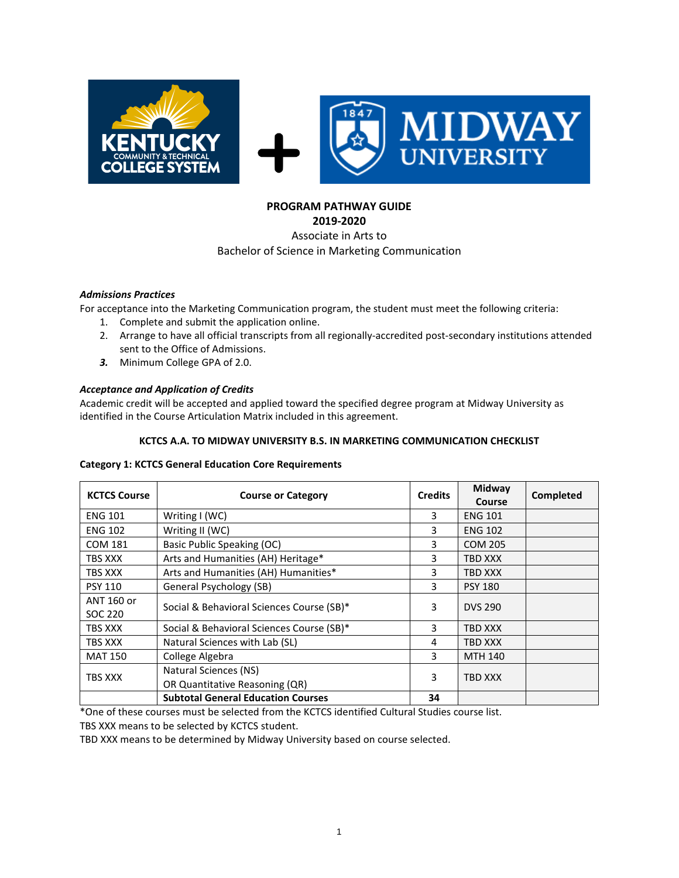

# **PROGRAM PATHWAY GUIDE**

**2019-2020**

### Associate in Arts to Bachelor of Science in Marketing Communication

### *Admissions Practices*

For acceptance into the Marketing Communication program, the student must meet the following criteria:

- 1. Complete and submit the application online.
- 2. Arrange to have all official transcripts from all regionally-accredited post-secondary institutions attended sent to the Office of Admissions.
- *3.* Minimum College GPA of 2.0.

## *Acceptance and Application of Credits*

Academic credit will be accepted and applied toward the specified degree program at Midway University as identified in the Course Articulation Matrix included in this agreement.

#### **KCTCS A.A. TO MIDWAY UNIVERSITY B.S. IN MARKETING COMMUNICATION CHECKLIST**

#### **Category 1: KCTCS General Education Core Requirements**

| <b>KCTCS Course</b>   | <b>Course or Category</b>                               |    | Midway<br>Course | Completed |
|-----------------------|---------------------------------------------------------|----|------------------|-----------|
| <b>ENG 101</b>        | Writing I (WC)                                          | 3  | <b>ENG 101</b>   |           |
| <b>ENG 102</b>        | Writing II (WC)                                         | 3  | <b>ENG 102</b>   |           |
| <b>COM 181</b>        | Basic Public Speaking (OC)                              | 3  | <b>COM 205</b>   |           |
| TBS XXX               | Arts and Humanities (AH) Heritage*                      | 3  | TBD XXX          |           |
| TBS XXX               | Arts and Humanities (AH) Humanities*                    | 3  | TBD XXX          |           |
| <b>PSY 110</b>        | General Psychology (SB)                                 | 3  | <b>PSY 180</b>   |           |
| ANT 160 or<br>SOC 220 | Social & Behavioral Sciences Course (SB)*               | 3  | <b>DVS 290</b>   |           |
| TBS XXX               | Social & Behavioral Sciences Course (SB)*               | 3  | TBD XXX          |           |
| TBS XXX               | Natural Sciences with Lab (SL)                          | 4  | TBD XXX          |           |
| <b>MAT 150</b>        | College Algebra                                         | 3  | <b>MTH 140</b>   |           |
| TBS XXX               | Natural Sciences (NS)<br>OR Quantitative Reasoning (QR) |    | TBD XXX          |           |
|                       | <b>Subtotal General Education Courses</b>               | 34 |                  |           |

\*One of these courses must be selected from the KCTCS identified Cultural Studies course list.

TBS XXX means to be selected by KCTCS student.

TBD XXX means to be determined by Midway University based on course selected.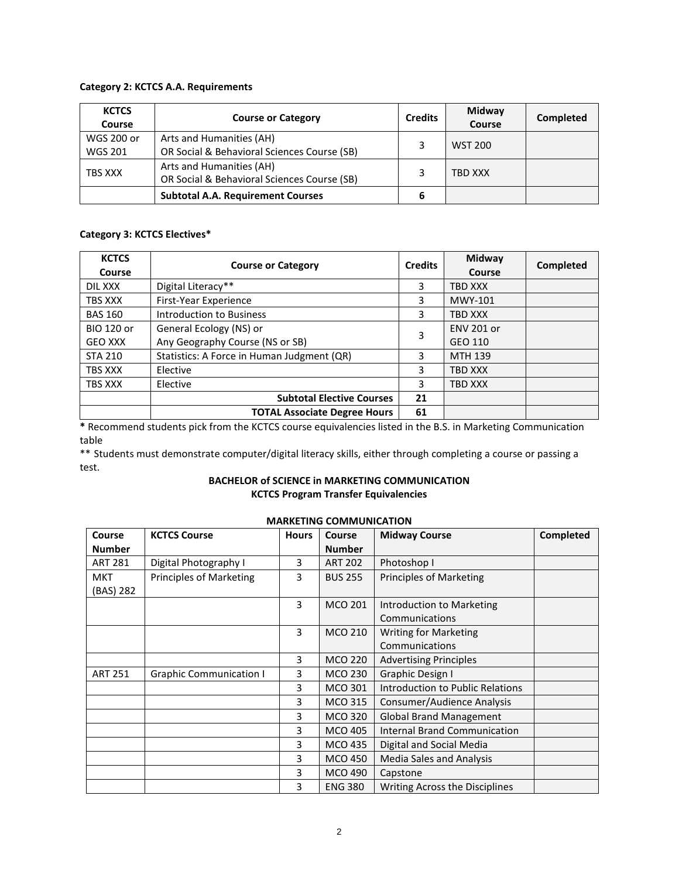#### **Category 2: KCTCS A.A. Requirements**

| <b>KCTCS</b><br><b>Course</b> | <b>Course or Category</b>                   |   | Midway<br>Course | Completed |
|-------------------------------|---------------------------------------------|---|------------------|-----------|
| WGS 200 or                    | Arts and Humanities (AH)                    |   | <b>WST 200</b>   |           |
| <b>WGS 201</b>                | OR Social & Behavioral Sciences Course (SB) |   |                  |           |
| TBS XXX                       | Arts and Humanities (AH)                    |   | TBD XXX          |           |
|                               | OR Social & Behavioral Sciences Course (SB) |   |                  |           |
|                               | <b>Subtotal A.A. Requirement Courses</b>    | 6 |                  |           |

### **Category 3: KCTCS Electives\***

| <b>KCTCS</b><br>Course | <b>Course or Category</b>                  |    | Midway<br>Course  | Completed |
|------------------------|--------------------------------------------|----|-------------------|-----------|
| DIL XXX                | Digital Literacy**                         | 3  | <b>TBD XXX</b>    |           |
| TBS XXX                | First-Year Experience                      | 3  | MWY-101           |           |
| <b>BAS 160</b>         | Introduction to Business                   | 3  | <b>TBD XXX</b>    |           |
| <b>BIO 120 or</b>      | General Ecology (NS) or                    |    | <b>ENV 201 or</b> |           |
| <b>GEO XXX</b>         | Any Geography Course (NS or SB)            | 3  | GEO 110           |           |
| <b>STA 210</b>         | Statistics: A Force in Human Judgment (QR) |    | <b>MTH 139</b>    |           |
| TBS XXX                | Elective                                   |    | <b>TBD XXX</b>    |           |
| TBS XXX                | Elective                                   |    | <b>TBD XXX</b>    |           |
|                        | <b>Subtotal Elective Courses</b>           | 21 |                   |           |
|                        | <b>TOTAL Associate Degree Hours</b>        | 61 |                   |           |

**\*** Recommend students pick from the KCTCS course equivalencies listed in the B.S. in Marketing Communication table

\*\* Students must demonstrate computer/digital literacy skills, either through completing a course or passing a test.

### **BACHELOR of SCIENCE in MARKETING COMMUNICATION KCTCS Program Transfer Equivalencies**

| Course         | <b>KCTCS Course</b>            | <b>Hours</b> | <b>Course</b>  | <b>Midway Course</b>                | <b>Completed</b> |
|----------------|--------------------------------|--------------|----------------|-------------------------------------|------------------|
| <b>Number</b>  |                                |              | <b>Number</b>  |                                     |                  |
| <b>ART 281</b> | Digital Photography I          | 3            | <b>ART 202</b> | Photoshop I                         |                  |
| <b>MKT</b>     | <b>Principles of Marketing</b> | 3            | <b>BUS 255</b> | <b>Principles of Marketing</b>      |                  |
| (BAS) 282      |                                |              |                |                                     |                  |
|                |                                | 3            | <b>MCO 201</b> | Introduction to Marketing           |                  |
|                |                                |              |                | Communications                      |                  |
|                |                                | 3            | <b>MCO 210</b> | <b>Writing for Marketing</b>        |                  |
|                |                                |              |                | Communications                      |                  |
|                |                                | 3            | <b>MCO 220</b> | <b>Advertising Principles</b>       |                  |
| <b>ART 251</b> | <b>Graphic Communication I</b> | 3            | <b>MCO 230</b> | Graphic Design I                    |                  |
|                |                                | 3            | <b>MCO 301</b> | Introduction to Public Relations    |                  |
|                |                                | 3            | MCO 315        | Consumer/Audience Analysis          |                  |
|                |                                | 3            | <b>MCO 320</b> | <b>Global Brand Management</b>      |                  |
|                |                                | 3            | <b>MCO 405</b> | <b>Internal Brand Communication</b> |                  |
|                |                                | 3            | <b>MCO 435</b> | Digital and Social Media            |                  |
|                |                                | 3            | <b>MCO 450</b> | Media Sales and Analysis            |                  |
|                |                                | 3            | <b>MCO 490</b> | Capstone                            |                  |
|                |                                | 3            | <b>ENG 380</b> | Writing Across the Disciplines      |                  |
|                |                                |              |                |                                     |                  |

## **MARKETING COMMUNICATION**